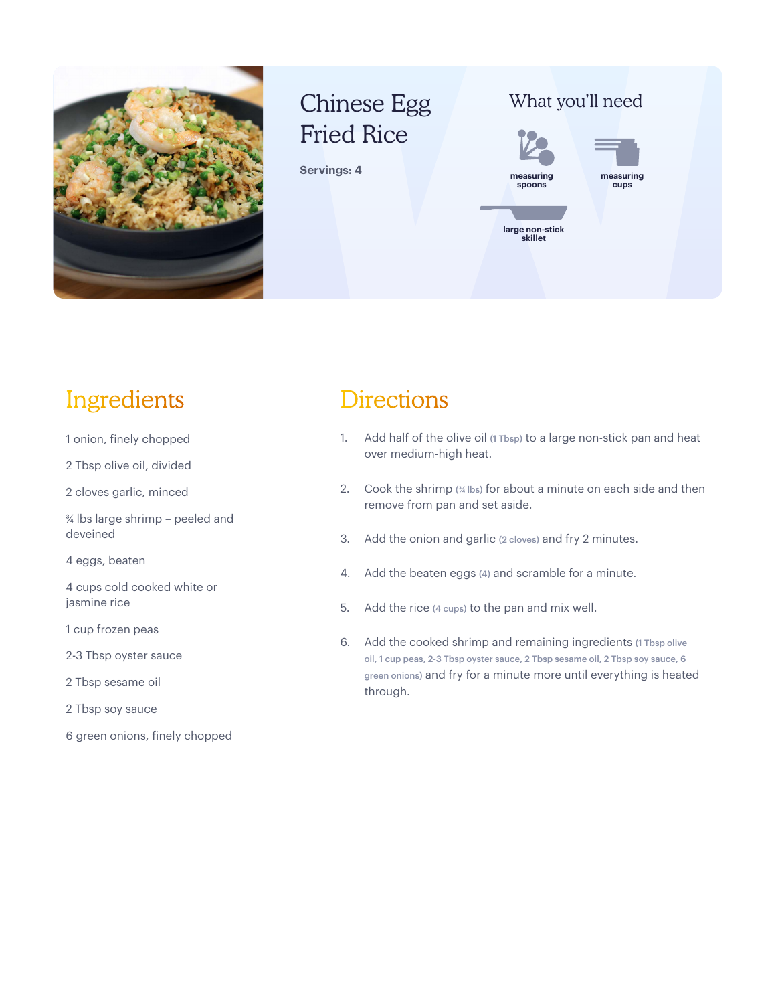

# Chinese Egg Fried Rice

**Servings: 4**

### What you'll need



**spoons**

**measuring cups**

**large non-stick skillet** 

# Ingredients

- 1 onion, finely chopped
- 2 Tbsp olive oil, divided

2 cloves garlic, minced

¾ lbs large shrimp – peeled and deveined

4 eggs, beaten

4 cups cold cooked white or jasmine rice

1 cup frozen peas

2-3 Tbsp oyster sauce

2 Tbsp sesame oil

2 Tbsp soy sauce

6 green onions, finely chopped

## **Directions**

- 1. Add half of the olive oil (1 Tbsp) to a large non-stick pan and heat over medium-high heat.
- 2. Cook the shrimp (% lbs) for about a minute on each side and then remove from pan and set aside.
- 3. Add the onion and garlic (2 cloves) and fry 2 minutes.
- 4. Add the beaten eggs (4) and scramble for a minute.
- 5. Add the rice (4 cups) to the pan and mix well.
- 6. Add the cooked shrimp and remaining ingredients (1 Tbsp olive oil, 1 cup peas, 2-3 Tbsp oyster sauce, 2 Tbsp sesame oil, 2 Tbsp soy sauce, 6 green onions) and fry for a minute more until everything is heated through.